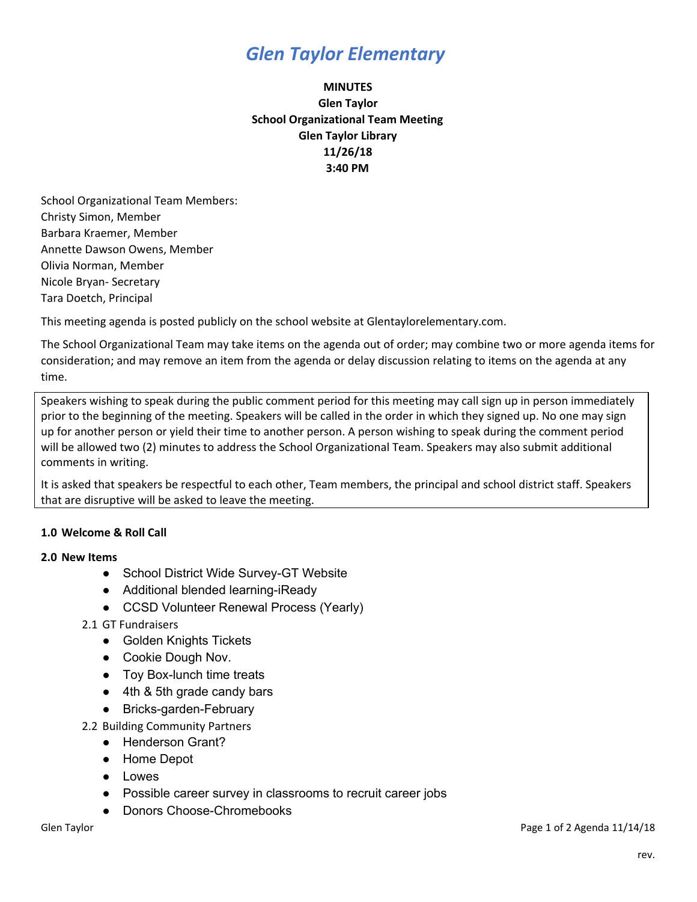## *Glen Taylor Elementary*

### **MINUTES Glen Taylor School Organizational Team Meeting Glen Taylor Library 11/26/18 3:40 PM**

School Organizational Team Members: Christy Simon, Member Barbara Kraemer, Member Annette Dawson Owens, Member Olivia Norman, Member Nicole Bryan- Secretary Tara Doetch, Principal

This meeting agenda is posted publicly on the school website at Glentaylorelementary.com.

The School Organizational Team may take items on the agenda out of order; may combine two or more agenda items for consideration; and may remove an item from the agenda or delay discussion relating to items on the agenda at any time.

Speakers wishing to speak during the public comment period for this meeting may call sign up in person immediately prior to the beginning of the meeting. Speakers will be called in the order in which they signed up. No one may sign up for another person or yield their time to another person. A person wishing to speak during the comment period will be allowed two (2) minutes to address the School Organizational Team. Speakers may also submit additional comments in writing.

It is asked that speakers be respectful to each other, Team members, the principal and school district staff. Speakers that are disruptive will be asked to leave the meeting.

### **1.0 Welcome & Roll Call**

#### **2.0 New Items**

- School District Wide Survey-GT Website
- Additional blended learning-iReady
- CCSD Volunteer Renewal Process (Yearly)
- 2.1 GT Fundraisers
	- Golden Knights Tickets
	- Cookie Dough Nov.
	- Toy Box-lunch time treats
	- 4th & 5th grade candy bars
	- Bricks-garden-February

2.2 Building Community Partners

- Henderson Grant?
- Home Depot
- Lowes
- Possible career survey in classrooms to recruit career jobs
- Donors Choose-Chromebooks